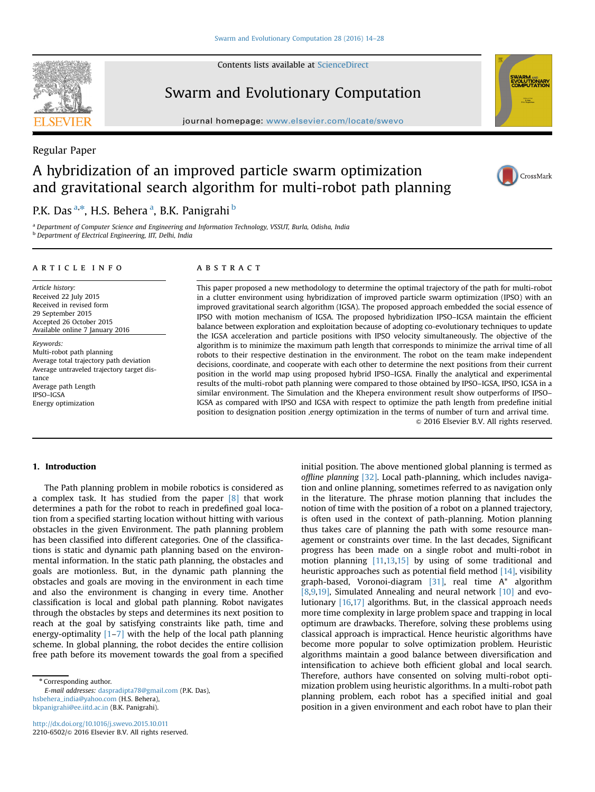Contents lists available at [ScienceDirect](www.sciencedirect.com/science/journal/22106502)



Regular Paper

Swarm and Evolutionary Computation

journal homepage: <www.elsevier.com/locate/swevo>kol/locate/swevokol/locate/swevokol/locate/swevokol/locate/swevokol/locate/swevokol/locate/swevokol/locate/swevokol/locate/swevokol/locate/swevokol/locate/swevokol/locate/swe



## A hybridization of an improved particle swarm optimization and gravitational search algorithm for multi-robot path planning

## P.K. Das <sup>a,\*</sup>, H.S. Behera <sup>a</sup>, B.K. Panigrahi <sup>b</sup>

<sup>a</sup> Department of Computer Science and Engineering and Information Technology, VSSUT, Burla, Odisha, India b Department of Electrical Engineering, IIT, Delhi, India

### article info

Article history: Received 22 July 2015 Received in revised form 29 September 2015 Accepted 26 October 2015 Available online 7 January 2016

Keywords:

Multi-robot path planning Average total trajectory path deviation Average untraveled trajectory target distance Average path Length IPSO–IGSA Energy optimization

#### **ABSTRACT**

This paper proposed a new methodology to determine the optimal trajectory of the path for multi-robot in a clutter environment using hybridization of improved particle swarm optimization (IPSO) with an improved gravitational search algorithm (IGSA). The proposed approach embedded the social essence of IPSO with motion mechanism of IGSA. The proposed hybridization IPSO–IGSA maintain the efficient balance between exploration and exploitation because of adopting co-evolutionary techniques to update the IGSA acceleration and particle positions with IPSO velocity simultaneously. The objective of the algorithm is to minimize the maximum path length that corresponds to minimize the arrival time of all robots to their respective destination in the environment. The robot on the team make independent decisions, coordinate, and cooperate with each other to determine the next positions from their current position in the world map using proposed hybrid IPSO–IGSA. Finally the analytical and experimental results of the multi-robot path planning were compared to those obtained by IPSO–IGSA, IPSO, IGSA in a similar environment. The Simulation and the Khepera environment result show outperforms of IPSO– IGSA as compared with IPSO and IGSA with respect to optimize the path length from predefine initial position to designation position ,energy optimization in the terms of number of turn and arrival time.  $©$  2016 Elsevier B.V. All rights reserved.

#### 1. Introduction

The Path planning problem in mobile robotics is considered as a complex task. It has studied from the paper [\[8\]](#page--1-0) that work determines a path for the robot to reach in predefined goal location from a specified starting location without hitting with various obstacles in the given Environment. The path planning problem has been classified into different categories. One of the classifications is static and dynamic path planning based on the environmental information. In the static path planning, the obstacles and goals are motionless. But, in the dynamic path planning the obstacles and goals are moving in the environment in each time and also the environment is changing in every time. Another classification is local and global path planning. Robot navigates through the obstacles by steps and determines its next position to reach at the goal by satisfying constraints like path, time and energy-optimality [\[1](#page--1-0)–[7\]](#page--1-0) with the help of the local path planning scheme. In global planning, the robot decides the entire collision free path before its movement towards the goal from a specified

\* Corresponding author.

E-mail addresses: [daspradipta78@gmail.com](mailto:daspradipta78@gmail.com) (P.K. Das), [hsbehera\\_india@yahoo.com](mailto:hsbehera_india@yahoo.com) (H.S. Behera), [bkpanigrahi@ee.iitd.ac.in](mailto:bkpanigrahi@ee.iitd.ac.in) (B.K. Panigrahi).

<http://dx.doi.org/10.1016/j.swevo.2015.10.011> 2210-6502/& 2016 Elsevier B.V. All rights reserved. initial position. The above mentioned global planning is termed as offline planning [\[32\].](#page--1-0) Local path-planning, which includes navigation and online planning, sometimes referred to as navigation only in the literature. The phrase motion planning that includes the notion of time with the position of a robot on a planned trajectory, is often used in the context of path-planning. Motion planning thus takes care of planning the path with some resource management or constraints over time. In the last decades, Significant progress has been made on a single robot and multi-robot in motion planning [\[11,13,15\]](#page--1-0) by using of some traditional and heuristic approaches such as potential field method [\[14\],](#page--1-0) visibility graph-based, Voronoi-diagram [\[31\],](#page--1-0) real time A\* algorithm [\[8,9](#page--1-0),[19\],](#page--1-0) Simulated Annealing and neural network [\[10\]](#page--1-0) and evolutionary [\[16,17\]](#page--1-0) algorithms. But, in the classical approach needs more time complexity in large problem space and trapping in local optimum are drawbacks. Therefore, solving these problems using classical approach is impractical. Hence heuristic algorithms have become more popular to solve optimization problem. Heuristic algorithms maintain a good balance between diversification and intensification to achieve both efficient global and local search. Therefore, authors have consented on solving multi-robot optimization problem using heuristic algorithms. In a multi-robot path planning problem, each robot has a specified initial and goal position in a given environment and each robot have to plan their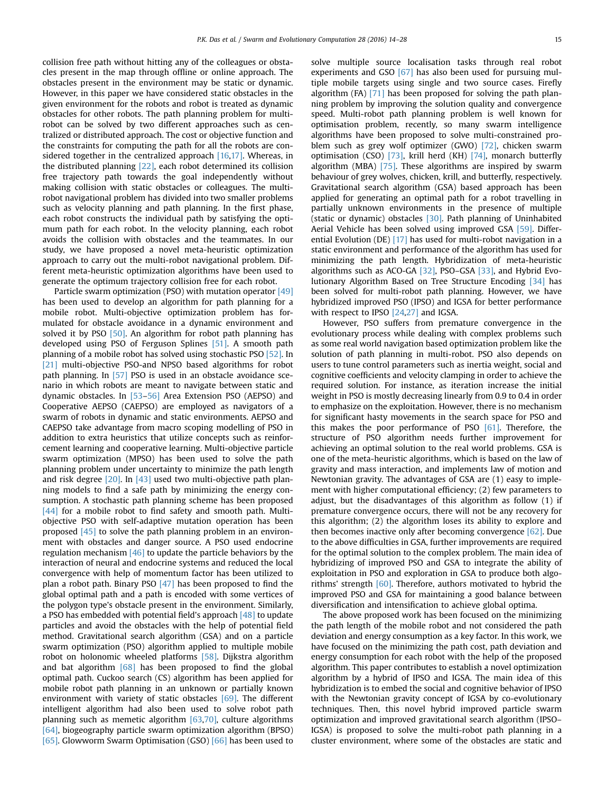collision free path without hitting any of the colleagues or obstacles present in the map through offline or online approach. The obstacles present in the environment may be static or dynamic. However, in this paper we have considered static obstacles in the given environment for the robots and robot is treated as dynamic obstacles for other robots. The path planning problem for multirobot can be solved by two different approaches such as centralized or distributed approach. The cost or objective function and the constraints for computing the path for all the robots are considered together in the centralized approach [\[16,17\].](#page--1-0) Whereas, in the distributed planning [\[22\]](#page--1-0), each robot determined its collision free trajectory path towards the goal independently without making collision with static obstacles or colleagues. The multirobot navigational problem has divided into two smaller problems such as velocity planning and path planning. In the first phase, each robot constructs the individual path by satisfying the optimum path for each robot. In the velocity planning, each robot avoids the collision with obstacles and the teammates. In our study, we have proposed a novel meta-heuristic optimization approach to carry out the multi-robot navigational problem. Different meta-heuristic optimization algorithms have been used to generate the optimum trajectory collision free for each robot.

Particle swarm optimization (PSO) with mutation operator [\[49\]](#page--1-0) has been used to develop an algorithm for path planning for a mobile robot. Multi-objective optimization problem has formulated for obstacle avoidance in a dynamic environment and solved it by PSO [\[50\]](#page--1-0). An algorithm for robot path planning has developed using PSO of Ferguson Splines [\[51\]](#page--1-0). A smooth path planning of a mobile robot has solved using stochastic PSO [\[52\].](#page--1-0) In [\[21\]](#page--1-0) multi-objective PSO-and NPSO based algorithms for robot path planning. In [\[57\]](#page--1-0) PSO is used in an obstacle avoidance scenario in which robots are meant to navigate between static and dynamic obstacles. In [\[53](#page--1-0)–[56\]](#page--1-0) Area Extension PSO (AEPSO) and Cooperative AEPSO (CAEPSO) are employed as navigators of a swarm of robots in dynamic and static environments. AEPSO and CAEPSO take advantage from macro scoping modelling of PSO in addition to extra heuristics that utilize concepts such as reinforcement learning and cooperative learning. Multi-objective particle swarm optimization (MPSO) has been used to solve the path planning problem under uncertainty to minimize the path length and risk degree [\[20\].](#page--1-0) In [\[43\]](#page--1-0) used two multi-objective path planning models to find a safe path by minimizing the energy consumption. A stochastic path planning scheme has been proposed [\[44\]](#page--1-0) for a mobile robot to find safety and smooth path. Multiobjective PSO with self-adaptive mutation operation has been proposed [\[45\]](#page--1-0) to solve the path planning problem in an environment with obstacles and danger source. A PSO used endocrine regulation mechanism [\[46\]](#page--1-0) to update the particle behaviors by the interaction of neural and endocrine systems and reduced the local convergence with help of momentum factor has been utilized to plan a robot path. Binary PSO [\[47\]](#page--1-0) has been proposed to find the global optimal path and a path is encoded with some vertices of the polygon type's obstacle present in the environment. Similarly, a PSO has embedded with potential field's approach [\[48\]](#page--1-0) to update particles and avoid the obstacles with the help of potential field method. Gravitational search algorithm (GSA) and on a particle swarm optimization (PSO) algorithm applied to multiple mobile robot on holonomic wheeled platforms [\[58\]](#page--1-0). Dijkstra algorithm and bat algorithm  $[68]$  has been proposed to find the global optimal path. Cuckoo search (CS) algorithm has been applied for mobile robot path planning in an unknown or partially known environment with variety of static obstacles [\[69\]](#page--1-0). The different intelligent algorithm had also been used to solve robot path planning such as memetic algorithm  $[63,70]$ , culture algorithms [\[64\],](#page--1-0) biogeography particle swarm optimization algorithm (BPSO) [\[65\].](#page--1-0) Glowworm Swarm Optimisation (GSO) [\[66\]](#page--1-0) has been used to

solve multiple source localisation tasks through real robot experiments and GSO  $[67]$  has also been used for pursuing multiple mobile targets using single and two source cases. Firefly algorithm (FA) [\[71\]](#page--1-0) has been proposed for solving the path planning problem by improving the solution quality and convergence speed. Multi-robot path planning problem is well known for optimisation problem, recently, so many swarm intelligence algorithms have been proposed to solve multi-constrained problem such as grey wolf optimizer (GWO) [\[72\]](#page--1-0), chicken swarm optimisation (CSO) [\[73\],](#page--1-0) krill herd (KH) [\[74\]](#page--1-0), monarch butterfly algorithm (MBA) [\[75\]](#page--1-0). These algorithms are inspired by swarm behaviour of grey wolves, chicken, krill, and butterfly, respectively. Gravitational search algorithm (GSA) based approach has been applied for generating an optimal path for a robot travelling in partially unknown environments in the presence of multiple (static or dynamic) obstacles [\[30\]](#page--1-0). Path planning of Uninhabited Aerial Vehicle has been solved using improved GSA [\[59\].](#page--1-0) Differ-ential Evolution (DE) [\[17\]](#page--1-0) has used for multi-robot navigation in a static environment and performance of the algorithm has used for minimizing the path length. Hybridization of meta-heuristic algorithms such as ACO-GA [\[32\],](#page--1-0) PSO–GSA [\[33\]](#page--1-0), and Hybrid Evolutionary Algorithm Based on Tree Structure Encoding [\[34\]](#page--1-0) has been solved for multi-robot path planning. However, we have hybridized improved PSO (IPSO) and IGSA for better performance with respect to IPSO [\[24,27\]](#page--1-0) and IGSA.

However, PSO suffers from premature convergence in the evolutionary process while dealing with complex problems such as some real world navigation based optimization problem like the solution of path planning in multi-robot. PSO also depends on users to tune control parameters such as inertia weight, social and cognitive coefficients and velocity clamping in order to achieve the required solution. For instance, as iteration increase the initial weight in PSO is mostly decreasing linearly from 0.9 to 0.4 in order to emphasize on the exploitation. However, there is no mechanism for significant hasty movements in the search space for PSO and this makes the poor performance of PSO [\[61\]](#page--1-0). Therefore, the structure of PSO algorithm needs further improvement for achieving an optimal solution to the real world problems. GSA is one of the meta-heuristic algorithms, which is based on the law of gravity and mass interaction, and implements law of motion and Newtonian gravity. The advantages of GSA are (1) easy to implement with higher computational efficiency; (2) few parameters to adjust, but the disadvantages of this algorithm as follow (1) if premature convergence occurs, there will not be any recovery for this algorithm; (2) the algorithm loses its ability to explore and then becomes inactive only after becoming convergence [\[62\]](#page--1-0). Due to the above difficulties in GSA, further improvements are required for the optimal solution to the complex problem. The main idea of hybridizing of improved PSO and GSA to integrate the ability of exploitation in PSO and exploration in GSA to produce both algorithms' strength [\[60\].](#page--1-0) Therefore, authors motivated to hybrid the improved PSO and GSA for maintaining a good balance between diversification and intensification to achieve global optima.

The above proposed work has been focused on the minimizing the path length of the mobile robot and not considered the path deviation and energy consumption as a key factor. In this work, we have focused on the minimizing the path cost, path deviation and energy consumption for each robot with the help of the proposed algorithm. This paper contributes to establish a novel optimization algorithm by a hybrid of IPSO and IGSA. The main idea of this hybridization is to embed the social and cognitive behavior of IPSO with the Newtonian gravity concept of IGSA by co-evolutionary techniques. Then, this novel hybrid improved particle swarm optimization and improved gravitational search algorithm (IPSO– IGSA) is proposed to solve the multi-robot path planning in a cluster environment, where some of the obstacles are static and